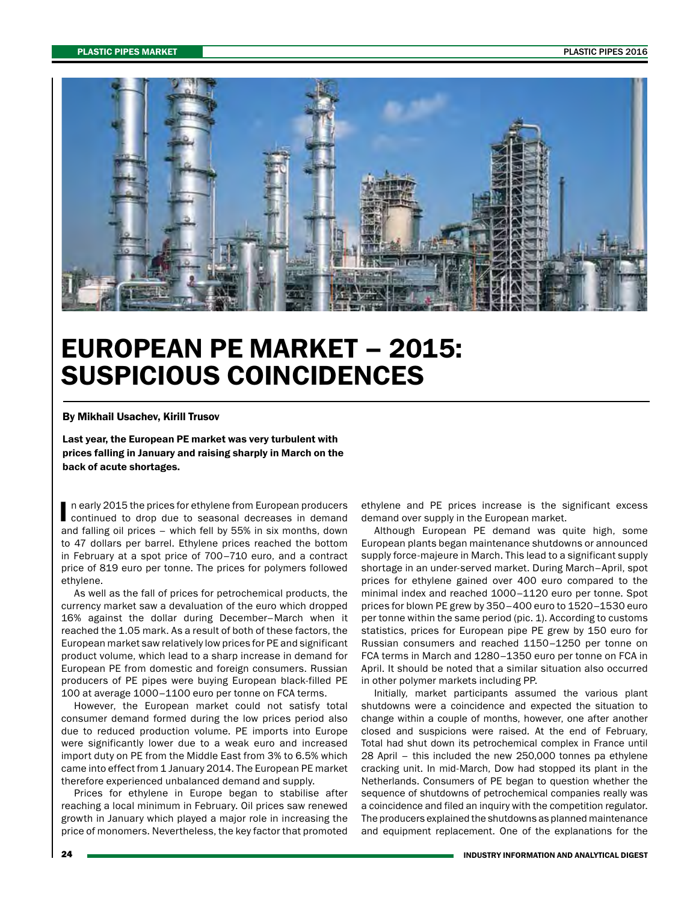

## EUROPEAN PE MARKET – 2015: SUSPICIOUS COINCIDENCES

## By Mikhail Usachev, Kirill Trusov

Last year, the European PE market was very turbulent with prices falling in January and raising sharply in March on the back of acute shortages.

I n early 2015 the prices for ethylene from European producers continued to drop due to seasonal decreases in demand and falling oil prices – which fell by 55% in six months, down to 47 dollars per barrel. Ethylene prices reached the bottom in February at a spot price of 700–710 euro, and a contract price of 819 euro per tonne. The prices for polymers followed ethylene.

As well as the fall of prices for petrochemical products, the currency market saw a devaluation of the euro which dropped 16% against the dollar during December–March when it reached the 1.05 mark. As a result of both of these factors, the European market saw relatively low prices for PE and significant product volume, which lead to a sharp increase in demand for European PE from domestic and foreign consumers. Russian producers of PE pipes were buying European black-filled PE 100 at average 1000–1100 euro per tonne on FCA terms.

However, the European market could not satisfy total consumer demand formed during the low prices period also due to reduced production volume. PE imports into Europe were significantly lower due to a weak euro and increased import duty on PE from the Middle East from 3% to 6.5% which came into effect from 1 January 2014. The European PE market therefore experienced unbalanced demand and supply.

Prices for ethylene in Europe began to stabilise after reaching a local minimum in February. Oil prices saw renewed growth in January which played a major role in increasing the price of monomers. Nevertheless, the key factor that promoted ethylene and PE prices increase is the significant excess demand over supply in the European market.

Although European PE demand was quite high, some European plants began maintenance shutdowns or announced supply force-majeure in March. This lead to a significant supply shortage in an under-served market. During March–April, spot prices for ethylene gained over 400 euro compared to the minimal index and reached 1000–1120 euro per tonne. Spot prices for blown PE grew by 350–400 euro to 1520–1530 euro per tonne within the same period (pic. 1). According to customs statistics, prices for European pipe PE grew by 150 euro for Russian consumers and reached 1150–1250 per tonne on FCA terms in March and 1280–1350 euro per tonne on FCA in April. It should be noted that a similar situation also occurred in other polymer markets including PP.

Initially, market participants assumed the various plant shutdowns were a coincidence and expected the situation to change within a couple of months, however, one after another closed and suspicions were raised. At the end of February, Total had shut down its petrochemical complex in France until 28 April – this included the new 250,000 tonnes pa ethylene cracking unit. In mid-March, Dow had stopped its plant in the Netherlands. Consumers of PE began to question whether the sequence of shutdowns of petrochemical companies really was a coincidence and filed an inquiry with the competition regulator. The producers explained the shutdowns as planned maintenance and equipment replacement. One of the explanations for the